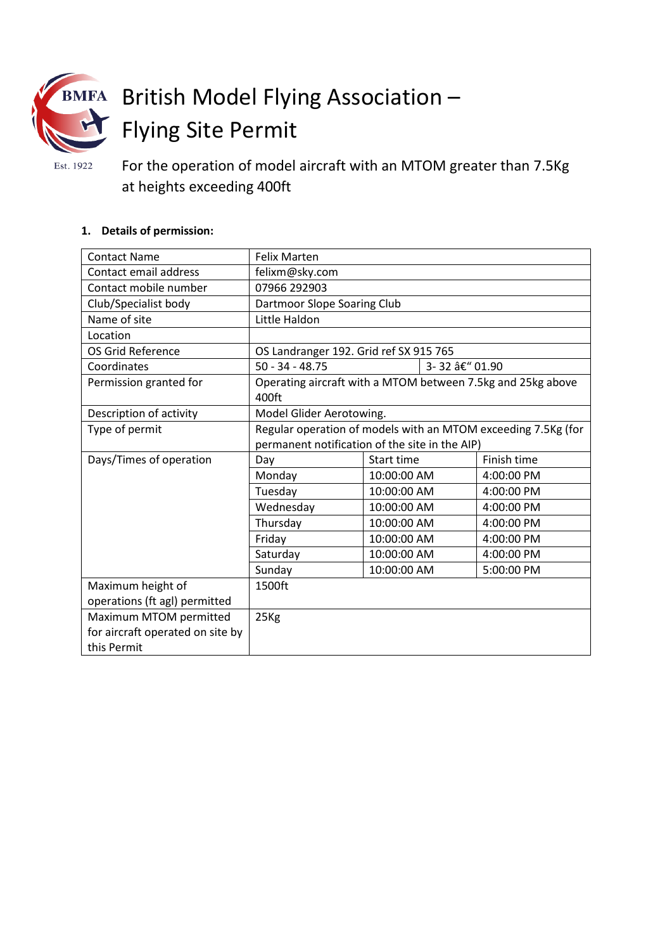

# British Model Flying Association – Flying Site Permit

Est. 1922

For the operation of model aircraft with an MTOM greater than 7.5Kg at heights exceeding 400ft

## **1. Details of permission:**

| <b>Contact Name</b>              | <b>Felix Marten</b>                                                                                             |                |  |             |  |
|----------------------------------|-----------------------------------------------------------------------------------------------------------------|----------------|--|-------------|--|
| Contact email address            | felixm@sky.com                                                                                                  |                |  |             |  |
| Contact mobile number            | 07966 292903                                                                                                    |                |  |             |  |
| Club/Specialist body             | Dartmoor Slope Soaring Club                                                                                     |                |  |             |  |
| Name of site                     | Little Haldon                                                                                                   |                |  |             |  |
| Location                         |                                                                                                                 |                |  |             |  |
| OS Grid Reference                | OS Landranger 192. Grid ref SX 915 765                                                                          |                |  |             |  |
| Coordinates                      | $50 - 34 - 48.75$                                                                                               | 3-32 â€" 01.90 |  |             |  |
| Permission granted for           | Operating aircraft with a MTOM between 7.5kg and 25kg above<br>400ft                                            |                |  |             |  |
| Description of activity          | Model Glider Aerotowing.                                                                                        |                |  |             |  |
| Type of permit                   | Regular operation of models with an MTOM exceeding 7.5Kg (for<br>permanent notification of the site in the AIP) |                |  |             |  |
| Days/Times of operation          | Day                                                                                                             | Start time     |  | Finish time |  |
|                                  | Monday                                                                                                          | 10:00:00 AM    |  | 4:00:00 PM  |  |
|                                  | Tuesday                                                                                                         | 10:00:00 AM    |  | 4:00:00 PM  |  |
|                                  | Wednesday                                                                                                       | 10:00:00 AM    |  | 4:00:00 PM  |  |
|                                  | Thursday                                                                                                        | 10:00:00 AM    |  | 4:00:00 PM  |  |
|                                  | Friday                                                                                                          | 10:00:00 AM    |  | 4:00:00 PM  |  |
|                                  | Saturday                                                                                                        | 10:00:00 AM    |  | 4:00:00 PM  |  |
|                                  | Sunday                                                                                                          | 10:00:00 AM    |  | 5:00:00 PM  |  |
| Maximum height of                | 1500ft                                                                                                          |                |  |             |  |
| operations (ft agl) permitted    |                                                                                                                 |                |  |             |  |
| Maximum MTOM permitted           | 25Kg                                                                                                            |                |  |             |  |
| for aircraft operated on site by |                                                                                                                 |                |  |             |  |
| this Permit                      |                                                                                                                 |                |  |             |  |